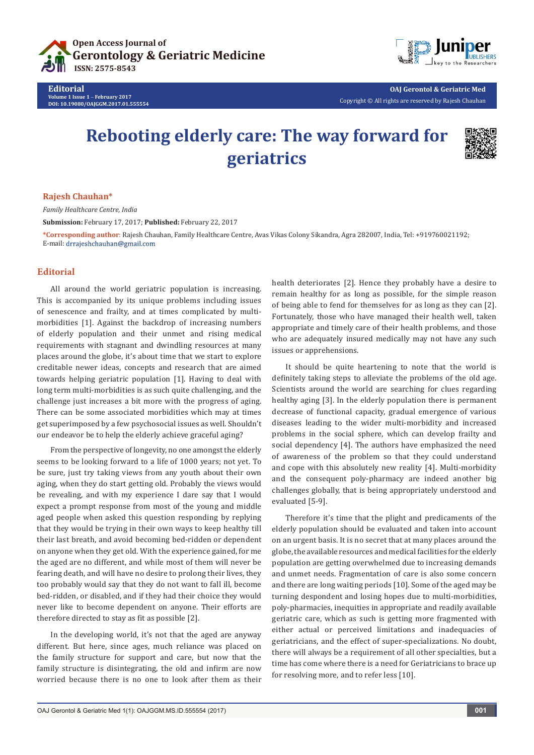

**Editorial Volume 1 Issue 1** - **February 2017 DOI: [10.19080/OAJGGM.2017.01.555554](http://dx.doi.org/10.19080/OAJGGM.2017.01.555554
)**



**OAJ Gerontol & Geriatric Med** Copyright © All rights are reserved by Rajesh Chauhan

# **Rebooting elderly care: The way forward for geriatrics**



#### **Rajesh Chauhan\***

*Family Healthcare Centre, India*

**Submission:** February 17, 2017; **Published:** February 22, 2017

**\*Corresponding author**: Rajesh Chauhan, Family Healthcare Centre, Avas Vikas Colony Sikandra, Agra 282007, India, Tel: +919760021192; E-mail: drrajeshchauhan@gmail.com

### **Editorial**

All around the world geriatric population is increasing. This is accompanied by its unique problems including issues of senescence and frailty, and at times complicated by multimorbidities [1]. Against the backdrop of increasing numbers of elderly population and their unmet and rising medical requirements with stagnant and dwindling resources at many places around the globe, it's about time that we start to explore creditable newer ideas, concepts and research that are aimed towards helping geriatric population [1]. Having to deal with long term multi-morbidities is as such quite challenging, and the challenge just increases a bit more with the progress of aging. There can be some associated morbidities which may at times get superimposed by a few psychosocial issues as well. Shouldn't our endeavor be to help the elderly achieve graceful aging?

From the perspective of longevity, no one amongst the elderly seems to be looking forward to a life of 1000 years; not yet. To be sure, just try taking views from any youth about their own aging, when they do start getting old. Probably the views would be revealing, and with my experience I dare say that I would expect a prompt response from most of the young and middle aged people when asked this question responding by replying that they would be trying in their own ways to keep healthy till their last breath, and avoid becoming bed-ridden or dependent on anyone when they get old. With the experience gained, for me the aged are no different, and while most of them will never be fearing death, and will have no desire to prolong their lives, they too probably would say that they do not want to fall ill, become bed-ridden, or disabled, and if they had their choice they would never like to become dependent on anyone. Their efforts are therefore directed to stay as fit as possible [2].

In the developing world, it's not that the aged are anyway different. But here, since ages, much reliance was placed on the family structure for support and care, but now that the family structure is disintegrating, the old and infirm are now worried because there is no one to look after them as their

health deteriorates [2]. Hence they probably have a desire to remain healthy for as long as possible, for the simple reason of being able to fend for themselves for as long as they can [2]. Fortunately, those who have managed their health well, taken appropriate and timely care of their health problems, and those who are adequately insured medically may not have any such issues or apprehensions.

It should be quite heartening to note that the world is definitely taking steps to alleviate the problems of the old age. Scientists around the world are searching for clues regarding healthy aging [3]. In the elderly population there is permanent decrease of functional capacity, gradual emergence of various diseases leading to the wider multi-morbidity and increased problems in the social sphere, which can develop frailty and social dependency [4]. The authors have emphasized the need of awareness of the problem so that they could understand and cope with this absolutely new reality [4]. Multi-morbidity and the consequent poly-pharmacy are indeed another big challenges globally, that is being appropriately understood and evaluated [5-9].

Therefore it's time that the plight and predicaments of the elderly population should be evaluated and taken into account on an urgent basis. It is no secret that at many places around the globe, the available resources and medical facilities for the elderly population are getting overwhelmed due to increasing demands and unmet needs. Fragmentation of care is also some concern and there are long waiting periods [10]. Some of the aged may be turning despondent and losing hopes due to multi-morbidities, poly-pharmacies, inequities in appropriate and readily available geriatric care, which as such is getting more fragmented with either actual or perceived limitations and inadequacies of geriatricians, and the effect of super-specializations. No doubt, there will always be a requirement of all other specialties, but a time has come where there is a need for Geriatricians to brace up for resolving more, and to refer less [10].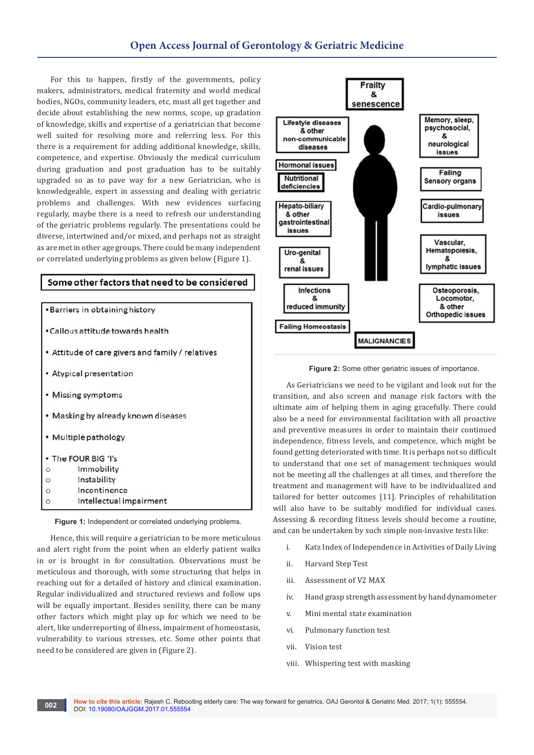For this to happen, firstly of the governments, policy makers, administrators, medical fraternity and world medical bodies, NGOs, community leaders, etc, must all get together and decide about establishing the new norms, scope, up gradation of knowledge, skills and expertise of a geriatrician that become well suited for resolving more and referring less. For this there is a requirement for adding additional knowledge, skills, competence, and expertise. Obviously the medical curriculum during graduation and post graduation has to be suitably upgraded so as to pave way for a new Geriatrician, who is knowledgeable, expert in assessing and dealing with geriatric problems and challenges. With new evidences surfacing regularly, maybe there is a need to refresh our understanding of the geriatric problems regularly. The presentations could be diverse, intertwined and/or mixed, and perhaps not as straight as are met in other age groups. There could be many independent or correlated underlying problems as given below (Figure 1).

| Some other factors that need to be considered |  |  |
|-----------------------------------------------|--|--|
|                                               |  |  |

|                                                  | • Barriers in obtaining history   |  |  |
|--------------------------------------------------|-----------------------------------|--|--|
| Callous attitude towards health                  |                                   |  |  |
| Attitude of care givers and family / relatives ' |                                   |  |  |
|                                                  | Atypical presentation             |  |  |
|                                                  | Missing symptoms                  |  |  |
|                                                  | Masking by already known diseases |  |  |
|                                                  | · Multiple pathology              |  |  |
|                                                  | The FOUR BIG 'I's                 |  |  |
| O                                                | Immobility                        |  |  |
|                                                  | Instability                       |  |  |
|                                                  | Incontinence                      |  |  |
|                                                  | Intellectual impairment           |  |  |
|                                                  |                                   |  |  |

 **Figure 1:** Independent or correlated underlying problems.

Hence, this will require a geriatrician to be more meticulous and alert right from the point when an elderly patient walks in or is brought in for consultation. Observations must be meticulous and thorough, with some structuring that helps in reaching out for a detailed of history and clinical examination. Regular individualized and structured reviews and follow ups will be equally important. Besides senility, there can be many other factors which might play up for which we need to be alert, like underreporting of illness, impairment of homeostasis, vulnerability to various stresses, etc. Some other points that need to be considered are given in (Figure 2).



 **Figure 2:** Some other geriatric issues of importance.

As Geriatricians we need to be vigilant and look out for the transition, and also screen and manage risk factors with the ultimate aim of helping them in aging gracefully. There could also be a need for environmental facilitation with all proactive and preventive measures in order to maintain their continued independence, fitness levels, and competence, which might be found getting deteriorated with time. It is perhaps not so difficult to understand that one set of management techniques would not be meeting all the challenges at all times, and therefore the treatment and management will have to be individualized and tailored for better outcomes [11]. Principles of rehabilitation will also have to be suitably modified for individual cases. Assessing & recording fitness levels should become a routine, and can be undertaken by such simple non-invasive tests like:

- i. Katz Index of Independence in Activities of Daily Living
- ii. Harvard Step Test
- iii. Assessment of V2 MAX
- iv. Hand grasp strength assessment by hand dynamometer
- v. Mini mental state examination
- vi. Pulmonary function test
- vii. Vision test
- viii. Whispering test with masking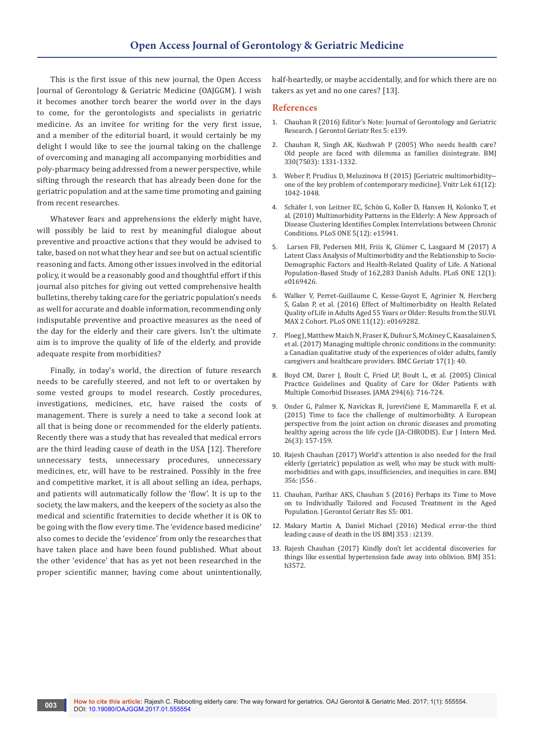This is the first issue of this new journal, the Open Access Journal of Gerontology & Geriatric Medicine (OAJGGM). I wish it becomes another torch bearer the world over in the days to come, for the gerontologists and specialists in geriatric medicine. As an invitee for writing for the very first issue, and a member of the editorial board, it would certainly be my delight I would like to see the journal taking on the challenge of overcoming and managing all accompanying morbidities and poly-pharmacy being addressed from a newer perspective, while sifting through the research that has already been done for the geriatric population and at the same time promoting and gaining from recent researches.

Whatever fears and apprehensions the elderly might have, will possibly be laid to rest by meaningful dialogue about preventive and proactive actions that they would be advised to take, based on not what they hear and see but on actual scientific reasoning and facts. Among other issues involved in the editorial policy, it would be a reasonably good and thoughtful effort if this journal also pitches for giving out vetted comprehensive health bulletins, thereby taking care for the geriatric population's needs as well for accurate and doable information, recommending only indisputable preventive and proactive measures as the need of the day for the elderly and their care givers. Isn't the ultimate aim is to improve the quality of life of the elderly, and provide adequate respite from morbidities?

Finally, in today's world, the direction of future research needs to be carefully steered, and not left to or overtaken by some vested groups to model research. Costly procedures, investigations, medicines, etc, have raised the costs of management. There is surely a need to take a second look at all that is being done or recommended for the elderly patients. Recently there was a study that has revealed that medical errors are the third leading cause of death in the USA [12]. Therefore unnecessary tests, unnecessary procedures, unnecessary medicines, etc, will have to be restrained. Possibly in the free and competitive market, it is all about selling an idea, perhaps, and patients will automatically follow the 'flow'. It is up to the society, the law makers, and the keepers of the society as also the medical and scientific fraternities to decide whether it is OK to be going with the flow every time. The 'evidence based medicine' also comes to decide the 'evidence' from only the researches that have taken place and have been found published. What about the other 'evidence' that has as yet not been researched in the proper scientific manner, having come about unintentionally,

half-heartedly, or maybe accidentally, and for which there are no takers as yet and no one cares? [13].

#### **References**

- 1. [Chauhan R \(2016\) Editor's Note: Journal of Gerontology and Geriatric](https://www.omicsgroup.org/journals/editors-note-journal-of-gerontology-and-geriatric-research.php?aid=81702)  [Research. J Gerontol Geriatr Res 5: e139.](https://www.omicsgroup.org/journals/editors-note-journal-of-gerontology-and-geriatric-research.php?aid=81702)
- 2. [Chauhan R, Singh AK, Kushwah P \(2005\) Who needs health care?](https://www.pubfacts.com/detail/15933366/Who-needs-health-care-Old-people-are-faced-with-dilemma-as-families-disintegrate)  [Old people are faced with dilemma as families disintegrate. BMJ](https://www.pubfacts.com/detail/15933366/Who-needs-health-care-Old-people-are-faced-with-dilemma-as-families-disintegrate)  [330\(7503\): 1331-1332.](https://www.pubfacts.com/detail/15933366/Who-needs-health-care-Old-people-are-faced-with-dilemma-as-families-disintegrate)
- 3. [Weber P, Prudius D, Meluzinova H \(2015\) \[Geriatric multimorbidity-](https://www.ncbi.nlm.nih.gov/pubmed/26806500) [one of the key problem of contemporary medicine\]. Vnitr Lek 61\(12\):](https://www.ncbi.nlm.nih.gov/pubmed/26806500)  [1042-1048.](https://www.ncbi.nlm.nih.gov/pubmed/26806500)
- 4. [Schäfer I, von Leitner EC, Schön G, Koller D, Hansen H, Kolonko T, et](http://journals.plos.org/plosone/article?id=10.1371/journal.pone.0015941)  [al. \(2010\) Multimorbidity Patterns in the Elderly: A New Approach of](http://journals.plos.org/plosone/article?id=10.1371/journal.pone.0015941)  [Disease Clustering Identifies Complex Interrelations between Chronic](http://journals.plos.org/plosone/article?id=10.1371/journal.pone.0015941)  [Conditions. PLoS ONE 5\(12\): e15941.](http://journals.plos.org/plosone/article?id=10.1371/journal.pone.0015941)
- 5. [Larsen FB, Pedersen MH, Friis K, Glümer C, Lasgaard M \(2017\) A](https://www.ncbi.nlm.nih.gov/pmc/articles/PMC5215832/)  [Latent Class Analysis of Multimorbidity and the Relationship to Socio-](https://www.ncbi.nlm.nih.gov/pmc/articles/PMC5215832/)[Demographic Factors and Health-Related Quality of Life. A National](https://www.ncbi.nlm.nih.gov/pmc/articles/PMC5215832/)  [Population-Based Study of 162,283 Danish Adults. PLoS ONE 12\(1\):](https://www.ncbi.nlm.nih.gov/pmc/articles/PMC5215832/)  [e0169426.](https://www.ncbi.nlm.nih.gov/pmc/articles/PMC5215832/)
- 6. [Walker V, Perret-Guillaume C, Kesse-Guyot E, Agrinier N, Hercberg](https://www.ncbi.nlm.nih.gov/pmc/articles/PMC5199105/)  [S, Galan P, et al. \(2016\) Effect of Multimorbidity on Health Related](https://www.ncbi.nlm.nih.gov/pmc/articles/PMC5199105/)  [Quality of Life in Adults Aged 55 Years or Older: Results from the SU.VI.](https://www.ncbi.nlm.nih.gov/pmc/articles/PMC5199105/) [MAX 2 Cohort. PLoS ONE 11\(12\): e0169282.](https://www.ncbi.nlm.nih.gov/pmc/articles/PMC5199105/)
- 7. [Ploeg J, Matthew Maich N, Fraser K, Dufour S, McAiney C, Kaasalainen S,](https://www.ncbi.nlm.nih.gov/pubmed/28143412)  [et al. \(2017\) Managing multiple chronic conditions in the community:](https://www.ncbi.nlm.nih.gov/pubmed/28143412)  [a Canadian qualitative study of the experiences of older adults, family](https://www.ncbi.nlm.nih.gov/pubmed/28143412)  [caregivers and healthcare providers. BMC Geriatr 17\(1\): 40.](https://www.ncbi.nlm.nih.gov/pubmed/28143412)
- 8. [Boyd CM, Darer J, Boult C, Fried LP, Boult L, et al. \(2005\) Clinical](https://www.ncbi.nlm.nih.gov/pubmed/16091574)  [Practice Guidelines and Quality of Care for Older Patients with](https://www.ncbi.nlm.nih.gov/pubmed/16091574)  [Multiple Comorbid Diseases. JAMA 294\(6\): 716-724.](https://www.ncbi.nlm.nih.gov/pubmed/16091574)
- 9. [Onder G, Palmer K, Navickas R, Jurevičienė E, Mammarella F, et al.](https://www.ncbi.nlm.nih.gov/pubmed/25797840)  [\(2015\) Time to face the challenge of multimorbidity. A European](https://www.ncbi.nlm.nih.gov/pubmed/25797840)  [perspective from the joint action on chronic diseases and promoting](https://www.ncbi.nlm.nih.gov/pubmed/25797840)  [healthy ageing across the life cycle \(JA-CHRODIS\). Eur J Intern Med.](https://www.ncbi.nlm.nih.gov/pubmed/25797840)  [26\(3\): 157-159.](https://www.ncbi.nlm.nih.gov/pubmed/25797840)
- 10. [Rajesh Chauhan \(2017\) World's attention is also needed for the frail](http://www.bmj.com/content/356/bmj.j556/rr-10)  [elderly \(geriatric\) population as well, who may be stuck with multi](http://www.bmj.com/content/356/bmj.j556/rr-10)[morbidities and with gaps, insufficiencies, and inequities in care. BMJ](http://www.bmj.com/content/356/bmj.j556/rr-10)  [356: j556 .](http://www.bmj.com/content/356/bmj.j556/rr-10)
- 11. [Chauhan, Parihar AKS, Chauhan S \(2016\) Perhaps its Time to Move](https://www.omicsgroup.org/journals/perhaps-its-time-to-move-on-to-individually-tailored-and-focusedtreatment-in-the-aged-population-2167-7182-S5-001.php?aid=76956)  [on to Individually Tailored and Focused Treatment in the Aged](https://www.omicsgroup.org/journals/perhaps-its-time-to-move-on-to-individually-tailored-and-focusedtreatment-in-the-aged-population-2167-7182-S5-001.php?aid=76956)  [Population. J Gerontol Geriatr Res S5: 001.](https://www.omicsgroup.org/journals/perhaps-its-time-to-move-on-to-individually-tailored-and-focusedtreatment-in-the-aged-population-2167-7182-S5-001.php?aid=76956)
- 12. [Makary Martin A, Daniel Michael \(2016\) Medical error-the third](http://www.bmj.com/content/353/bmj.i2139)  [leading cause of death in the US BMJ 353 : i2139.](http://www.bmj.com/content/353/bmj.i2139)
- 13. [Rajesh Chauhan \(2017\) Kindly don't let accidental discoveries for](http://www.bmj.com/content/351/bmj.h3572/rr)  [things like essential hypertension fade away into oblivion. BMJ 351:](http://www.bmj.com/content/351/bmj.h3572/rr)  [h3572.](http://www.bmj.com/content/351/bmj.h3572/rr)